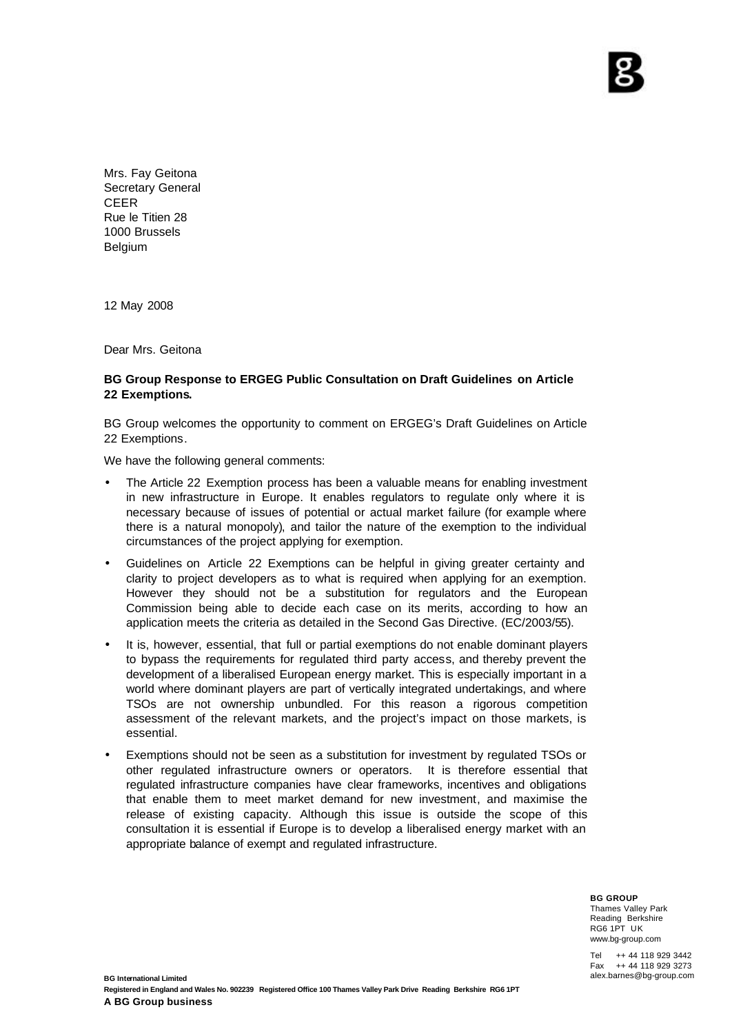Mrs. Fay Geitona Secretary General CEER Rue le Titien 28 1000 Brussels Belgium

12 May 2008

Dear Mrs. Geitona

## **BG Group Response to ERGEG Public Consultation on Draft Guidelines on Article 22 Exemptions.**

BG Group welcomes the opportunity to comment on ERGEG's Draft Guidelines on Article 22 Exemptions.

We have the following general comments:

- The Article 22 Exemption process has been a valuable means for enabling investment in new infrastructure in Europe. It enables regulators to regulate only where it is necessary because of issues of potential or actual market failure (for example where there is a natural monopoly), and tailor the nature of the exemption to the individual circumstances of the project applying for exemption.
- Guidelines on Article 22 Exemptions can be helpful in giving greater certainty and clarity to project developers as to what is required when applying for an exemption. However they should not be a substitution for regulators and the European Commission being able to decide each case on its merits, according to how an application meets the criteria as detailed in the Second Gas Directive. (EC/2003/55).
- It is, however, essential, that full or partial exemptions do not enable dominant players to bypass the requirements for regulated third party access, and thereby prevent the development of a liberalised European energy market. This is especially important in a world where dominant players are part of vertically integrated undertakings, and where TSOs are not ownership unbundled. For this reason a rigorous competition assessment of the relevant markets, and the project's impact on those markets, is essential.
- Exemptions should not be seen as a substitution for investment by regulated TSOs or other regulated infrastructure owners or operators. It is therefore essential that regulated infrastructure companies have clear frameworks, incentives and obligations that enable them to meet market demand for new investment, and maximise the release of existing capacity. Although this issue is outside the scope of this consultation it is essential if Europe is to develop a liberalised energy market with an appropriate balance of exempt and regulated infrastructure.

**BG GROUP** Thames Valley Park Reading Berkshire RG6 1PT UK www.bg-group.com

Tel ++ 44 118 929 3442<br>Fax ++ 44 118 929 3273 ++ 44 118 929 3273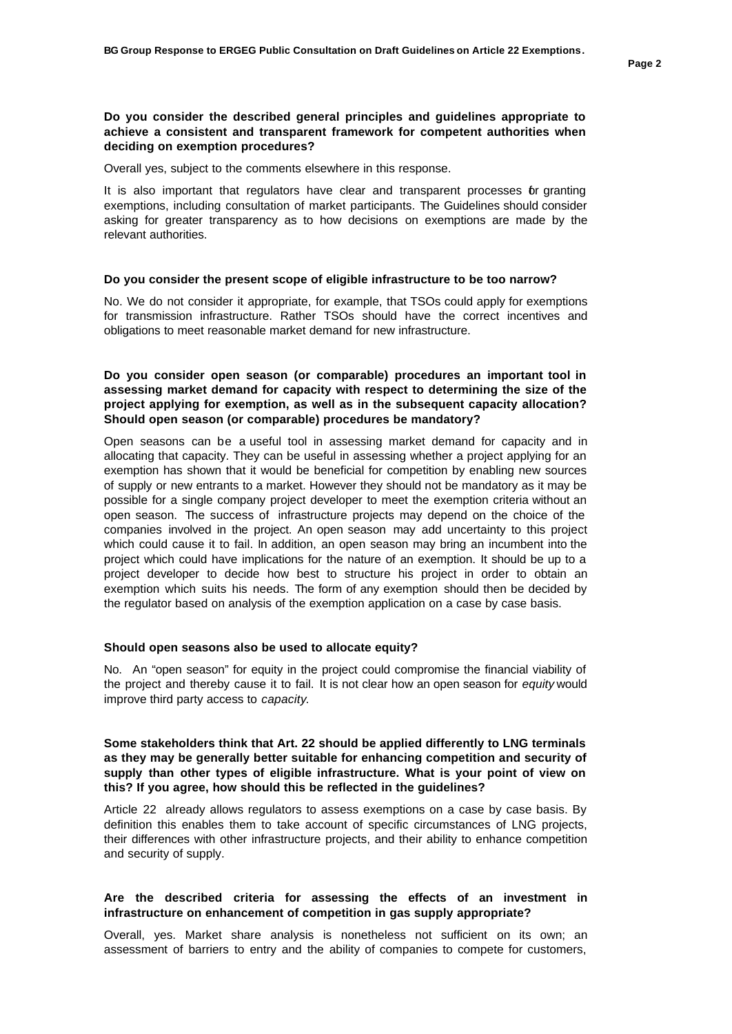#### **Do you consider the described general principles and guidelines appropriate to achieve a consistent and transparent framework for competent authorities when deciding on exemption procedures?**

Overall yes, subject to the comments elsewhere in this response.

It is also important that regulators have clear and transparent processes or granting exemptions, including consultation of market participants. The Guidelines should consider asking for greater transparency as to how decisions on exemptions are made by the relevant authorities.

#### **Do you consider the present scope of eligible infrastructure to be too narrow?**

No. We do not consider it appropriate, for example, that TSOs could apply for exemptions for transmission infrastructure. Rather TSOs should have the correct incentives and obligations to meet reasonable market demand for new infrastructure.

## **Do you consider open season (or comparable) procedures an important tool in assessing market demand for capacity with respect to determining the size of the project applying for exemption, as well as in the subsequent capacity allocation? Should open season (or comparable) procedures be mandatory?**

Open seasons can be a useful tool in assessing market demand for capacity and in allocating that capacity. They can be useful in assessing whether a project applying for an exemption has shown that it would be beneficial for competition by enabling new sources of supply or new entrants to a market. However they should not be mandatory as it may be possible for a single company project developer to meet the exemption criteria without an open season. The success of infrastructure projects may depend on the choice of the companies involved in the project. An open season may add uncertainty to this project which could cause it to fail. In addition, an open season may bring an incumbent into the project which could have implications for the nature of an exemption. It should be up to a project developer to decide how best to structure his project in order to obtain an exemption which suits his needs. The form of any exemption should then be decided by the regulator based on analysis of the exemption application on a case by case basis.

#### **Should open seasons also be used to allocate equity?**

No. An "open season" for equity in the project could compromise the financial viability of the project and thereby cause it to fail. It is not clear how an open season for *equity* would improve third party access to *capacity*.

#### **Some stakeholders think that Art. 22 should be applied differently to LNG terminals as they may be generally better suitable for enhancing competition and security of supply than other types of eligible infrastructure. What is your point of view on this? If you agree, how should this be reflected in the guidelines?**

Article 22 already allows regulators to assess exemptions on a case by case basis. By definition this enables them to take account of specific circumstances of LNG projects, their differences with other infrastructure projects, and their ability to enhance competition and security of supply.

#### **Are the described criteria for assessing the effects of an investment in infrastructure on enhancement of competition in gas supply appropriate?**

Overall, yes. Market share analysis is nonetheless not sufficient on its own; an assessment of barriers to entry and the ability of companies to compete for customers,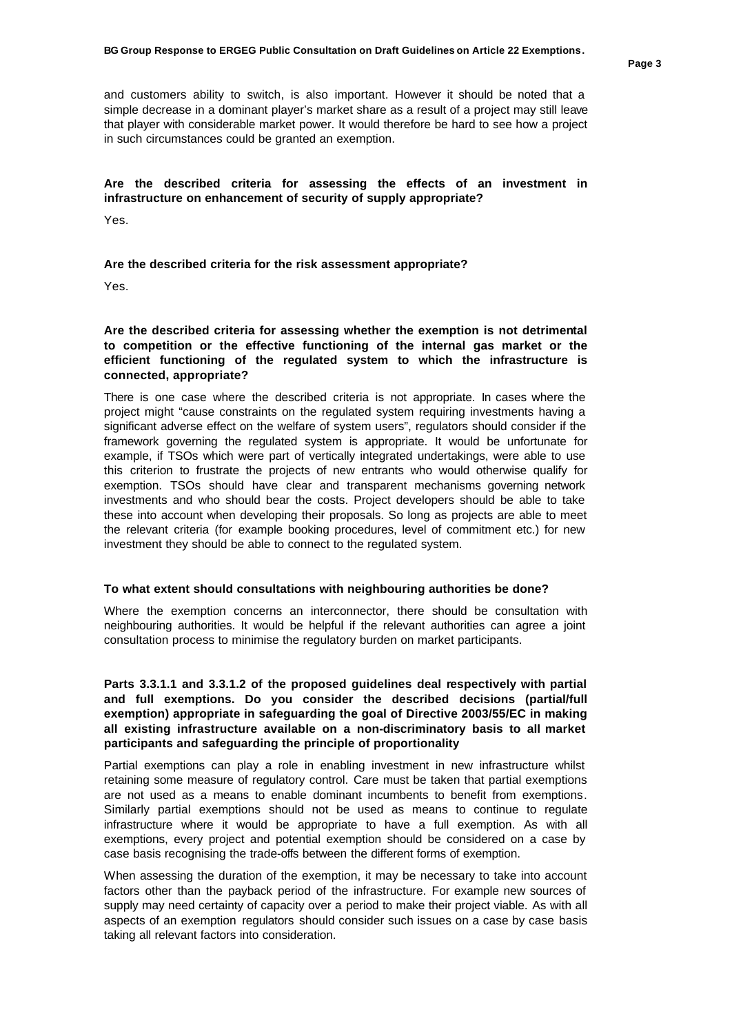and customers ability to switch, is also important. However it should be noted that a simple decrease in a dominant player's market share as a result of a project may still leave that player with considerable market power. It would therefore be hard to see how a project in such circumstances could be granted an exemption.

## **Are the described criteria for assessing the effects of an investment in infrastructure on enhancement of security of supply appropriate?**

Yes.

#### **Are the described criteria for the risk assessment appropriate?**

Yes.

## **Are the described criteria for assessing whether the exemption is not detrimental to competition or the effective functioning of the internal gas market or the efficient functioning of the regulated system to which the infrastructure is connected, appropriate?**

There is one case where the described criteria is not appropriate. In cases where the project might "cause constraints on the regulated system requiring investments having a significant adverse effect on the welfare of system users", regulators should consider if the framework governing the regulated system is appropriate. It would be unfortunate for example, if TSOs which were part of vertically integrated undertakings, were able to use this criterion to frustrate the projects of new entrants who would otherwise qualify for exemption. TSOs should have clear and transparent mechanisms governing network investments and who should bear the costs. Project developers should be able to take these into account when developing their proposals. So long as projects are able to meet the relevant criteria (for example booking procedures, level of commitment etc.) for new investment they should be able to connect to the regulated system.

#### **To what extent should consultations with neighbouring authorities be done?**

Where the exemption concerns an interconnector, there should be consultation with neighbouring authorities. It would be helpful if the relevant authorities can agree a joint consultation process to minimise the regulatory burden on market participants.

## **Parts 3.3.1.1 and 3.3.1.2 of the proposed guidelines deal respectively with partial and full exemptions. Do you consider the described decisions (partial/full exemption) appropriate in safeguarding the goal of Directive 2003/55/EC in making all existing infrastructure available on a non-discriminatory basis to all market participants and safeguarding the principle of proportionality**

Partial exemptions can play a role in enabling investment in new infrastructure whilst retaining some measure of regulatory control. Care must be taken that partial exemptions are not used as a means to enable dominant incumbents to benefit from exemptions. Similarly partial exemptions should not be used as means to continue to regulate infrastructure where it would be appropriate to have a full exemption. As with all exemptions, every project and potential exemption should be considered on a case by case basis recognising the trade-offs between the different forms of exemption.

When assessing the duration of the exemption, it may be necessary to take into account factors other than the payback period of the infrastructure. For example new sources of supply may need certainty of capacity over a period to make their project viable. As with all aspects of an exemption regulators should consider such issues on a case by case basis taking all relevant factors into consideration.